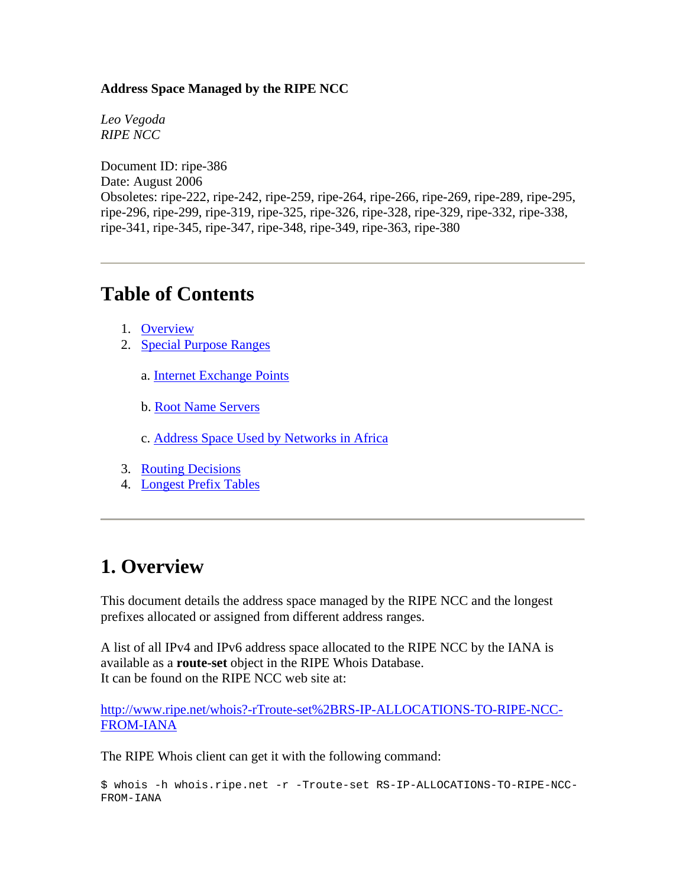#### **Address Space Managed by the RIPE NCC**

*Leo Vegoda RIPE NCC* 

Document ID: ripe-386 Date: August 2006 Obsoletes: ripe-222, ripe-242, ripe-259, ripe-264, ripe-266, ripe-269, ripe-289, ripe-295, ripe-296, ripe-299, ripe-319, ripe-325, ripe-326, ripe-328, ripe-329, ripe-332, ripe-338, ripe-341, ripe-345, ripe-347, ripe-348, ripe-349, ripe-363, ripe-380

### **Table of Contents**

- 1. [Overview](https://www.ripe.net/ripe/docs/ripe-ncc-managed-address-space.html#overview)
- 2. [Special Purpose Ranges](https://www.ripe.net/ripe/docs/ripe-ncc-managed-address-space.html#special_purpose_ranges)
	- a. [Internet Exchange Points](https://www.ripe.net/ripe/docs/ripe-ncc-managed-address-space.html#ixp)
	- b. [Root Name Servers](https://www.ripe.net/ripe/docs/ripe-ncc-managed-address-space.html#root)
	- c. [Address Space Used by Networks in Africa](https://www.ripe.net/ripe/docs/ripe-ncc-managed-address-space.html#africa)
- 3. [Routing Decisions](https://www.ripe.net/ripe/docs/ripe-ncc-managed-address-space.html#routing_decisions)
- 4. [Longest Prefix Tables](https://www.ripe.net/ripe/docs/ripe-ncc-managed-address-space.html#longest_prefix_tables)

### **1. Overview**

This document details the address space managed by the RIPE NCC and the longest prefixes allocated or assigned from different address ranges.

A list of all IPv4 and IPv6 address space allocated to the RIPE NCC by the IANA is available as a **route-set** object in the RIPE Whois Database. It can be found on the RIPE NCC web site at:

[http://www.ripe.net/whois?-rTroute-set%2BRS-IP-ALLOCATIONS-TO-RIPE-NCC-](http://www.ripe.net/whois?-rTroute-set%2BRS-IP-ALLOCATIONS-TO-RIPE-NCC-FROM-IANA)[FROM-IANA](http://www.ripe.net/whois?-rTroute-set%2BRS-IP-ALLOCATIONS-TO-RIPE-NCC-FROM-IANA)

The RIPE Whois client can get it with the following command:

\$ whois -h whois.ripe.net -r -Troute-set RS-IP-ALLOCATIONS-TO-RIPE-NCC-FROM-IANA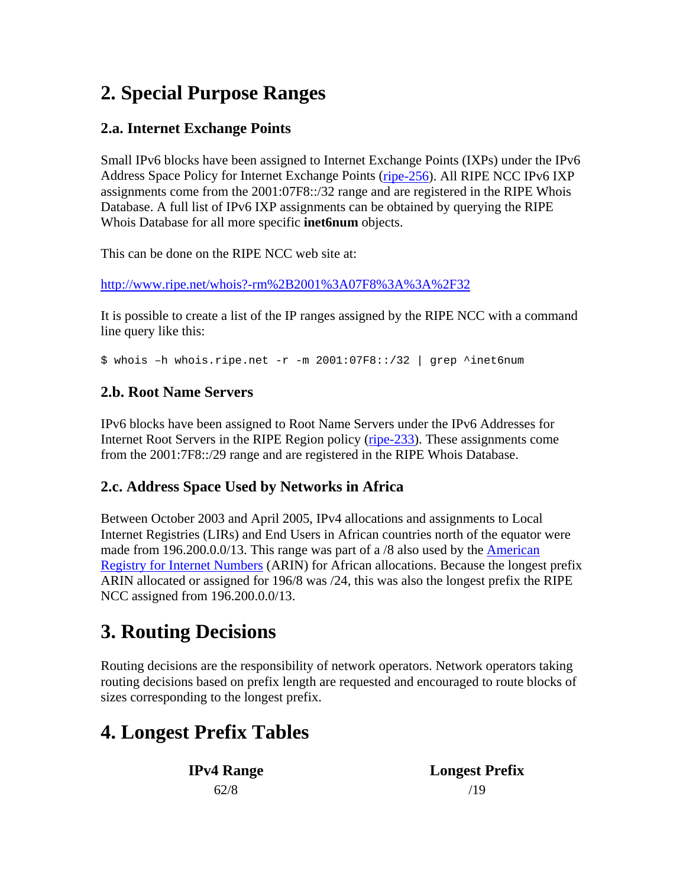# **2. Special Purpose Ranges**

### **2.a. Internet Exchange Points**

Small IPv6 blocks have been assigned to Internet Exchange Points (IXPs) under the IPv6 Address Space Policy for Internet Exchange Points [\(ripe-256\)](https://www.ripe.net/ripe/docs/ipv6-policy-ixp.html). All RIPE NCC IPv6 IXP assignments come from the 2001:07F8::/32 range and are registered in the RIPE Whois Database. A full list of IPv6 IXP assignments can be obtained by querying the RIPE Whois Database for all more specific **inet6num** objects.

This can be done on the RIPE NCC web site at:

<http://www.ripe.net/whois?-rm%2B2001%3A07F8%3A%3A%2F32>

It is possible to create a list of the IP ranges assigned by the RIPE NCC with a command line query like this:

\$ whois –h whois.ripe.net -r -m 2001:07F8::/32 | grep ^inet6num

#### **2.b. Root Name Servers**

IPv6 blocks have been assigned to Root Name Servers under the IPv6 Addresses for Internet Root Servers in the RIPE Region policy [\(ripe-233\)](https://www.ripe.net/ripe/docs/ipv6-rootservers.html). These assignments come from the 2001:7F8::/29 range and are registered in the RIPE Whois Database.

#### **2.c. Address Space Used by Networks in Africa**

Between October 2003 and April 2005, IPv4 allocations and assignments to Local Internet Registries (LIRs) and End Users in African countries north of the equator were made from 196.200.0.0/13. This range was part of a /8 also used by the [American](http://www.arin.net/)  [Registry for Internet Numbers](http://www.arin.net/) (ARIN) for African allocations. Because the longest prefix ARIN allocated or assigned for 196/8 was /24, this was also the longest prefix the RIPE NCC assigned from 196.200.0.0/13.

# **3. Routing Decisions**

Routing decisions are the responsibility of network operators. Network operators taking routing decisions based on prefix length are requested and encouraged to route blocks of sizes corresponding to the longest prefix.

# **4. Longest Prefix Tables**

**IPv4 Range Longest Prefix**   $62/8$  /19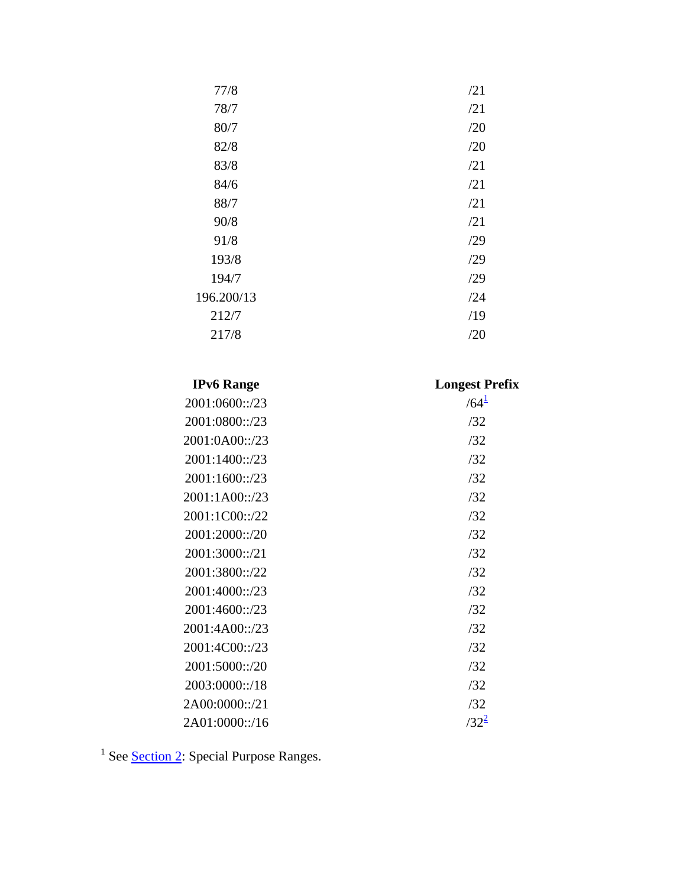| 77/8       | /21 |
|------------|-----|
| 78/7       | /21 |
| 80/7       | /20 |
| 82/8       | /20 |
| 83/8       | /21 |
| 84/6       | /21 |
| 88/7       | /21 |
| 90/8       | /21 |
| 91/8       | /29 |
| 193/8      | /29 |
| 194/7      | /29 |
| 196.200/13 | /24 |
| 212/7      | /19 |
| 217/8      | /20 |

| <b>Longest Prefix</b> |
|-----------------------|
| $/64^{\frac{1}{2}}$   |
| /32                   |
| /32                   |
| /32                   |
| /32                   |
| /32                   |
| /32                   |
| /32                   |
| /32                   |
| /32                   |
| /32                   |
| /32                   |
| /32                   |
| /32                   |
| /32                   |
| /32                   |
| /32                   |
| $/32^{2}$             |
|                       |

<sup>1</sup> See **Section 2**: Special Purpose Ranges.